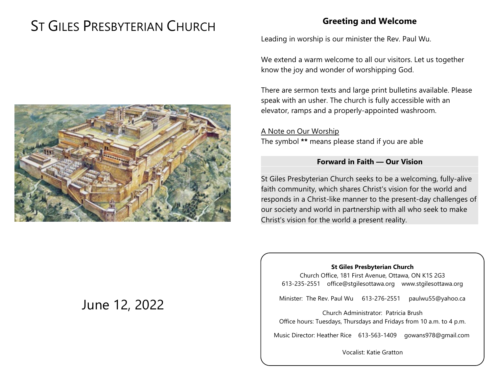# ST GILES PRESBYTERIAN CHURCH

## **Greeting and Welcome**

Leading in worship is our minister the Rev. Paul Wu.

We extend a warm welcome to all our visitors. Let us together know the joy and wonder of worshipping God.

There are sermon texts and large print bulletins available. Please speak with an usher. The church is fully accessible with an elevator, ramps and a properly-appointed washroom.

A Note on Our Worship The symbol **\*\*** means please stand if you are able

#### **Forward in Faith — Our Vision**

St Giles Presbyterian Church seeks to be a welcoming, fully-alive faith community, which shares Christ's vision for the world and responds in a Christ-like manner to the present-day challenges of our society and world in partnership with all who seek to make Christ's vision for the world a present reality.

## June 12, 2022

**St Giles Presbyterian Church**

Church Office, 181 First Avenue, Ottawa, ON K1S 2G3 613-235-2551 office@stgilesottawa.org www.stgilesottawa.org

Minister: The Rev. Paul Wu 613-276-2551 paulwu55@yahoo.ca

Church Administrator: Patricia Brush Office hours: Tuesdays, Thursdays and Fridays from 10 a.m. to 4 p.m.

Music Director: Heather Rice 613-563-1409 gowans978@gmail.com

Vocalist: Katie Gratton

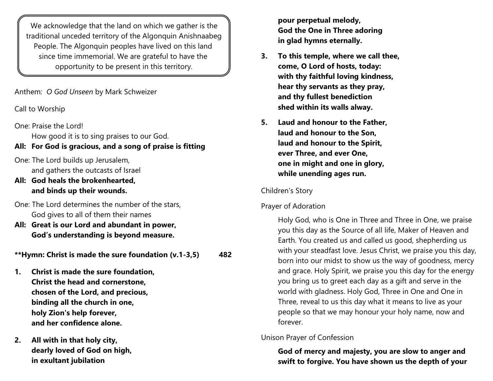We acknowledge that the land on which we gather is the traditional unceded territory of the Algonquin Anishnaabeg People. The Algonquin peoples have lived on this land since time immemorial. We are grateful to have the opportunity to be present in this territory.

Anthem: *O God Unseen* by Mark Schweizer

Call to Worship

One: Praise the Lord!

How good it is to sing praises to our God.

## **All: For God is gracious, and a song of praise is fitting**

- One: The Lord builds up Jerusalem, and gathers the outcasts of Israel
- **All: God heals the brokenhearted, and binds up their wounds.**
- One: The Lord determines the number of the stars, God gives to all of them their names
- **All: Great is our Lord and abundant in power, God's understanding is beyond measure.**

**\*\*Hymn: Christ is made the sure foundation (v.1-3,5) 482**

- **1. Christ is made the sure foundation, Christ the head and cornerstone, chosen of the Lord, and precious, binding all the church in one, holy Zion's help forever, and her confidence alone.**
- **2. All with in that holy city, dearly loved of God on high, in exultant jubilation**

**pour perpetual melody, God the One in Three adoring in glad hymns eternally.**

- **3. To this temple, where we call thee, come, O Lord of hosts, today: with thy faithful loving kindness, hear thy servants as they pray, and thy fullest benediction shed within its walls alway.**
- **5. Laud and honour to the Father, laud and honour to the Son, laud and honour to the Spirit, ever Three, and ever One, one in might and one in glory, while unending ages run.**

### Children's Story

Prayer of Adoration

Holy God, who is One in Three and Three in One, we praise you this day as the Source of all life, Maker of Heaven and Earth. You created us and called us good, shepherding us with your steadfast love. Jesus Christ, we praise you this day, born into our midst to show us the way of goodness, mercy and grace. Holy Spirit, we praise you this day for the energy you bring us to greet each day as a gift and serve in the world with gladness. Holy God, Three in One and One in Three, reveal to us this day what it means to live as your people so that we may honour your holy name, now and forever.

## Unison Prayer of Confession

**God of mercy and majesty, you are slow to anger and swift to forgive. You have shown us the depth of your**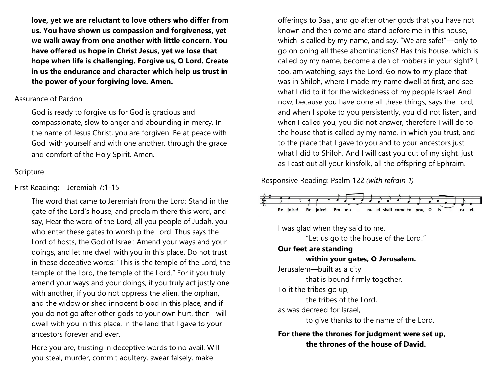**love, yet we are reluctant to love others who differ from us. You have shown us compassion and forgiveness, yet we walk away from one another with little concern. You have offered us hope in Christ Jesus, yet we lose that hope when life is challenging. Forgive us, O Lord. Create in us the endurance and character which help us trust in the power of your forgiving love. Amen.** 

#### Assurance of Pardon

God is ready to forgive us for God is gracious and compassionate, slow to anger and abounding in mercy. In the name of Jesus Christ, you are forgiven. Be at peace with God, with yourself and with one another, through the grace and comfort of the Holy Spirit. Amen.

#### Scripture

#### First Reading: Jeremiah 7:1-15

The word that came to Jeremiah from the Lord: Stand in the gate of the Lord's house, and proclaim there this word, and say, Hear the word of the Lord, all you people of Judah, you who enter these gates to worship the Lord. Thus says the Lord of hosts, the God of Israel: Amend your ways and your doings, and let me dwell with you in this place. Do not trust in these deceptive words: "This is the temple of the Lord, the temple of the Lord, the temple of the Lord." For if you truly amend your ways and your doings, if you truly act justly one with another, if you do not oppress the alien, the orphan, and the widow or shed innocent blood in this place, and if you do not go after other gods to your own hurt, then I will dwell with you in this place, in the land that I gave to your ancestors forever and ever.

Here you are, trusting in deceptive words to no avail. Will you steal, murder, commit adultery, swear falsely, make

offerings to Baal, and go after other gods that you have not known and then come and stand before me in this house, which is called by my name, and say, "We are safe!"—only to go on doing all these abominations? Has this house, which is called by my name, become a den of robbers in your sight? I, too, am watching, says the Lord. Go now to my place that was in Shiloh, where I made my name dwell at first, and see what I did to it for the wickedness of my people Israel. And now, because you have done all these things, says the Lord, and when I spoke to you persistently, you did not listen, and when I called you, you did not answer, therefore I will do to the house that is called by my name, in which you trust, and to the place that I gave to you and to your ancestors just what I did to Shiloh. And I will cast you out of my sight, just as I cast out all your kinsfolk, all the offspring of Ephraim.

Responsive Reading: Psalm 122 *(with refrain 1)*



I was glad when they said to me, "Let us go to the house of the Lord!" **Our feet are standing within your gates, O Jerusalem.** Jerusalem—built as a city that is bound firmly together. To it the tribes go up, the tribes of the Lord, as was decreed for Israel, to give thanks to the name of the Lord. **For there the thrones for judgment were set up, the thrones of the house of David.**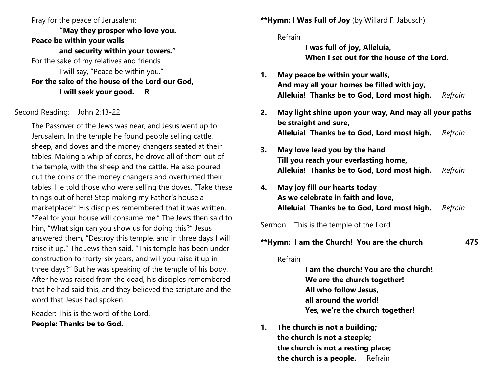#### Pray for the peace of Jerusalem:

**"May they prosper who love you. Peace be within your walls and security within your towers."** For the sake of my relatives and friends I will say, "Peace be within you." **For the sake of the house of the Lord our God, I will seek your good. R**

#### Second Reading: John 2:13-22

The Passover of the Jews was near, and Jesus went up to Jerusalem. In the temple he found people selling cattle, sheep, and doves and the money changers seated at their tables. Making a whip of cords, he drove all of them out of the temple, with the sheep and the cattle. He also poured out the coins of the money changers and overturned their tables. He told those who were selling the doves, "Take these things out of here! Stop making my Father's house a marketplace!" His disciples remembered that it was written, "Zeal for your house will consume me." The Jews then said to him, "What sign can you show us for doing this?" Jesus answered them, "Destroy this temple, and in three days I will raise it up." The Jews then said, "This temple has been under construction for forty-six years, and will you raise it up in three days?" But he was speaking of the temple of his body. After he was raised from the dead, his disciples remembered that he had said this, and they believed the scripture and the word that Jesus had spoken.

Reader: This is the word of the Lord, **People: Thanks be to God.**

**\*\*Hymn: I Was Full of Joy** (by Willard F. Jabusch)

Refrain

**I was full of joy, Alleluia, When I set out for the house of the Lord.**

- **1. May peace be within your walls, And may all your homes be filled with joy, Alleluia! Thanks be to God, Lord most high.** *Refrain*
- **2. May light shine upon your way, And may all your paths be straight and sure, Alleluia! Thanks be to God, Lord most high.** *Refrain*
- **3. May love lead you by the hand Till you reach your everlasting home, Alleluia! Thanks be to God, Lord most high.** *Refrain*
- **4. May joy fill our hearts today As we celebrate in faith and love, Alleluia! Thanks be to God, Lord most high.** *Refrain*

Sermon This is the temple of the Lord

**\*\*Hymn: I am the Church! You are the church 475**

#### Refrain

**I am the church! You are the church! We are the church together! All who follow Jesus, all around the world! Yes, we're the church together!**

**1. The church is not a building; the church is not a steeple; the church is not a resting place; the church is a people.** Refrain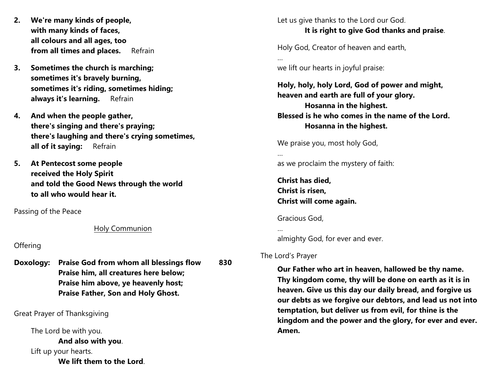- **2. We're many kinds of people, with many kinds of faces, all colours and all ages, too from all times and places.** Refrain
- **3. Sometimes the church is marching; sometimes it's bravely burning, sometimes it's riding, sometimes hiding; always it's learning.** Refrain
- **4. And when the people gather, there's singing and there's praying; there's laughing and there's crying sometimes, all of it saying:** Refrain
- **5. At Pentecost some people received the Holy Spirit and told the Good News through the world to all who would hear it.**

Passing of the Peace

#### Holy Communion

#### **Offering**

**Doxology: Praise God from whom all blessings flow 830 Praise him, all creatures here below; Praise him above, ye heavenly host; Praise Father, Son and Holy Ghost.**

Great Prayer of Thanksgiving

The Lord be with you. **And also with you**. Lift up your hearts. **We lift them to the Lord**. Let us give thanks to the Lord our God. **It is right to give God thanks and praise**.

Holy God, Creator of heaven and earth,

we lift our hearts in joyful praise:

**Holy, holy, holy Lord, God of power and might, heaven and earth are full of your glory. Hosanna in the highest. Blessed is he who comes in the name of the Lord. Hosanna in the highest.** 

We praise you, most holy God,

as we proclaim the mystery of faith:

**Christ has died, Christ is risen, Christ will come again.** 

Gracious God,

almighty God, for ever and ever.

The Lord's Prayer

…

…

…

**Our Father who art in heaven, hallowed be thy name. Thy kingdom come, thy will be done on earth as it is in heaven. Give us this day our daily bread, and forgive us our debts as we forgive our debtors, and lead us not into temptation, but deliver us from evil, for thine is the kingdom and the power and the glory, for ever and ever. Amen.**